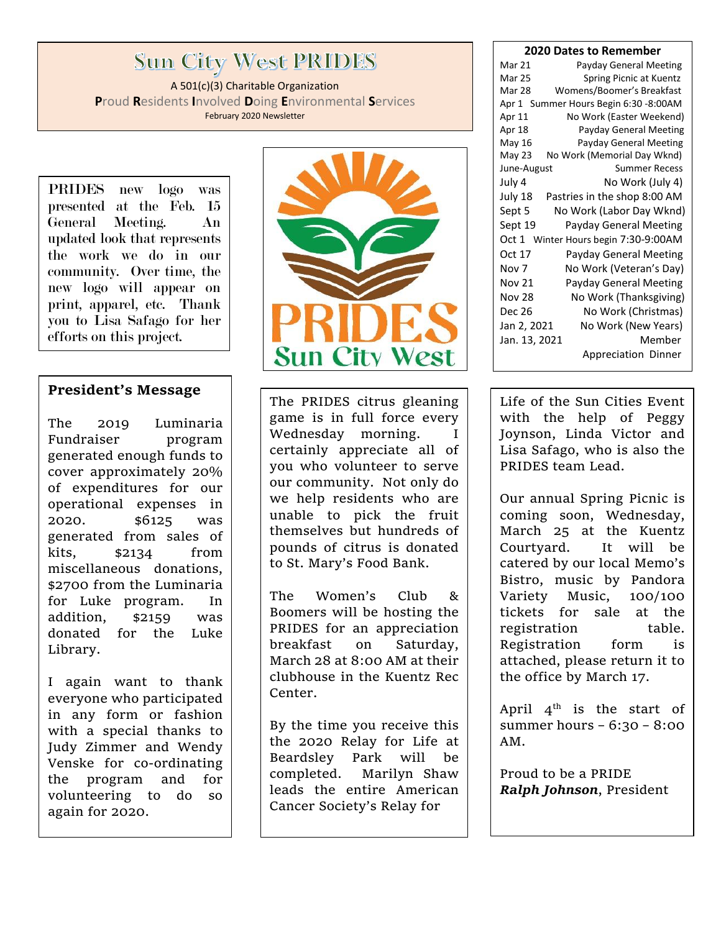# **Sun City West PRIDES**

A 501(c)(3) Charitable Organization **P**roud **R**esidents **I**nvolved **D**oing **E**nvironmental **S**ervices February 2020 Newsletter

PRIDES new logo was presented at the Feb. 15 General Meeting. An updated look that represents the work we do in our community. Over time, the new logo will appear on print, apparel, etc. Thank you to Lisa Safago for her efforts on this project.

### **President's Message**

The 2019 Luminaria Fundraiser program generated enough funds to cover approximately 20% of expenditures for our operational expenses in 2020. \$6125 was generated from sales of kits, \$2134 from miscellaneous donations, \$2700 from the Luminaria for Luke program. In addition, \$2159 was donated for the Luke Library.

I again want to thank everyone who participated in any form or fashion with a special thanks to Judy Zimmer and Wendy Venske for co-ordinating the program and for volunteering to do so again for 2020.



The PRIDES citrus gleaning game is in full force every Wednesday morning. I certainly appreciate all of you who volunteer to serve our community. Not only do we help residents who are unable to pick the fruit themselves but hundreds of pounds of citrus is donated to St. Mary's Food Bank.

The Women's Club & Boomers will be hosting the PRIDES for an appreciation breakfast on Saturday, March 28 at 8:00 AM at their clubhouse in the Kuentz Rec Center.

By the time you receive this the 2020 Relay for Life at Beardsley Park will be completed. Marilyn Shaw leads the entire American Cancer Society's Relay for

#### **2020 Dates to Remember**

| Mar 21                                  | Payday General Meeting       |  |  |
|-----------------------------------------|------------------------------|--|--|
| <b>Mar 25</b>                           | Spring Picnic at Kuentz      |  |  |
| Mar 28                                  | Womens/Boomer's Breakfast    |  |  |
| Apr 1 Summer Hours Begin 6:30 -8:00AM   |                              |  |  |
| Apr 11                                  | No Work (Easter Weekend)     |  |  |
| Apr 18                                  | Payday General Meeting       |  |  |
| May 16                                  | Payday General Meeting       |  |  |
| May 23                                  | No Work (Memorial Day Wknd)  |  |  |
| June-August                             | <b>Summer Recess</b>         |  |  |
| July 4                                  | No Work (July 4)             |  |  |
| July 18                                 | Pastries in the shop 8:00 AM |  |  |
| Sept 5                                  | No Work (Labor Day Wknd)     |  |  |
| Sept 19                                 | Payday General Meeting       |  |  |
| Winter Hours begin 7:30-9:00AM<br>Oct 1 |                              |  |  |
| Oct 17                                  | Payday General Meeting       |  |  |
| Nov 7                                   | No Work (Veteran's Day)      |  |  |
| <b>Nov 21</b>                           | Payday General Meeting       |  |  |
| <b>Nov 28</b>                           | No Work (Thanksgiving)       |  |  |
| <b>Dec 26</b>                           | No Work (Christmas)          |  |  |
| Jan 2, 2021                             | No Work (New Years)          |  |  |
| Jan. 13, 2021                           | Member                       |  |  |
|                                         | Appreciation Dinner          |  |  |
|                                         |                              |  |  |

Life of the Sun Cities Event with the help of Peggy Joynson, Linda Victor and Lisa Safago, who is also the PRIDES team Lead.

Our annual Spring Picnic is coming soon, Wednesday, March 25 at the Kuentz Courtyard. It will be catered by our local Memo's Bistro, music by Pandora Variety Music, 100/100 tickets for sale at the registration table. Registration form is attached, please return it to the office by March 17.

April  $4^{\text{th}}$  is the start of summer hours – 6:30 – 8:00 AM.

Proud to be a PRIDE *Ralph Johnson*, President